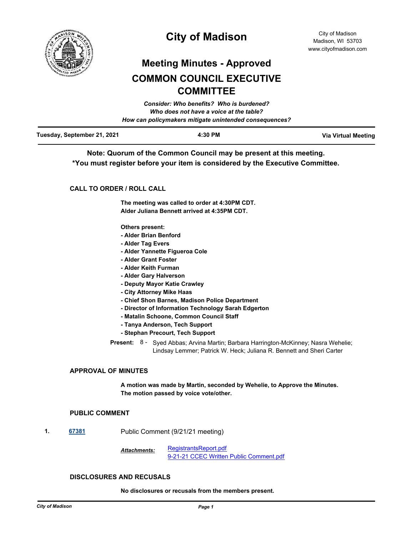

# **City of Madison**

# **Meeting Minutes - Approved COMMON COUNCIL EXECUTIVE COMMITTEE**

|                             | Consider: Who benefits? Who is burdened?               |                            |
|-----------------------------|--------------------------------------------------------|----------------------------|
|                             | Who does not have a voice at the table?                |                            |
|                             | How can policymakers mitigate unintended consequences? |                            |
| Tuesday, September 21, 2021 | 4:30 PM                                                | <b>Via Virtual Meeting</b> |

**Note: Quorum of the Common Council may be present at this meeting. \*You must register before your item is considered by the Executive Committee.**

## **CALL TO ORDER / ROLL CALL**

**The meeting was called to order at 4:30PM CDT. Alder Juliana Bennett arrived at 4:35PM CDT.**

**Others present:**

- **Alder Brian Benford**
- **Alder Tag Evers**
- **Alder Yannette Figueroa Cole**
- **Alder Grant Foster**
- **Alder Keith Furman**
- **Alder Gary Halverson**
- **Deputy Mayor Katie Crawley**
- **City Attorney Mike Haas**
- **Chief Shon Barnes, Madison Police Department**
- **Director of Information Technology Sarah Edgerton**
- **Matalin Schoone, Common Council Staff**
- **Tanya Anderson, Tech Support**
- **Stephan Precourt, Tech Support**

Present: 8 - Syed Abbas; Arvina Martin; Barbara Harrington-McKinney; Nasra Wehelie; Lindsay Lemmer; Patrick W. Heck; Juliana R. Bennett and Sheri Carter

## **APPROVAL OF MINUTES**

**A motion was made by Martin, seconded by Wehelie, to Approve the Minutes. The motion passed by voice vote/other.**

## **PUBLIC COMMENT**

**1. [67381](http://madison.legistar.com/gateway.aspx?m=l&id=/matter.aspx?key=79303)** Public Comment (9/21/21 meeting)

[RegistrantsReport.pdf](http://madison.legistar.com/gateway.aspx?M=F&ID=e589db92-158c-4a8b-9a36-25bb51f79e0c.pdf) [9-21-21 CCEC Written Public Comment.pdf](http://madison.legistar.com/gateway.aspx?M=F&ID=c9d8d2bf-acf6-457d-acb9-84486dff2cd2.pdf) *Attachments:*

## **DISCLOSURES AND RECUSALS**

**No disclosures or recusals from the members present.**